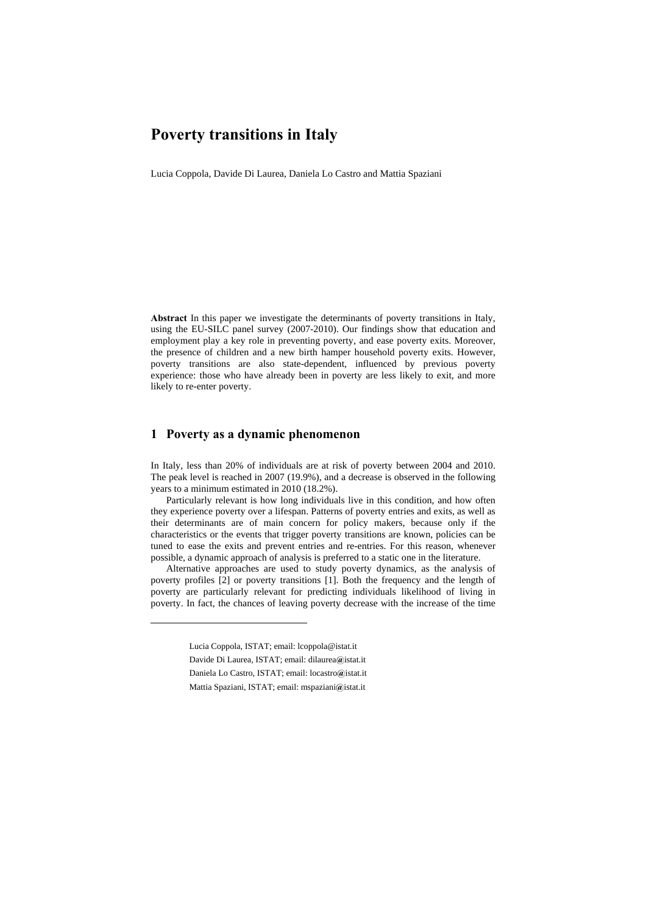# **Poverty transitions in Italy**

Lucia Coppola, Davide Di Laurea, Daniela Lo Castro and Mattia Spaziani

**Abstract** In this paper we investigate the determinants of poverty transitions in Italy, using the EU-SILC panel survey (2007-2010). Our findings show that education and employment play a key role in preventing poverty, and ease poverty exits. Moreover, the presence of children and a new birth hamper household poverty exits. However, poverty transitions are also state-dependent, influenced by previous poverty experience: those who have already been in poverty are less likely to exit, and more likely to re-enter poverty.

### **1 Poverty as a dynamic phenomenon**

In Italy, less than 20% of individuals are at risk of poverty between 2004 and 2010. The peak level is reached in 2007 (19.9%), and a decrease is observed in the following years to a minimum estimated in 2010 (18.2%).

Particularly relevant is how long individuals live in this condition, and how often they experience poverty over a lifespan. Patterns of poverty entries and exits, as well as their determinants are of main concern for policy makers, because only if the characteristics or the events that trigger poverty transitions are known, policies can be tuned to ease the exits and prevent entries and re-entries. For this reason, whenever possible, a dynamic approach of analysis is preferred to a static one in the literature.

Alternative approaches are used to study poverty dynamics, as the analysis of poverty profiles [2] or poverty transitions [1]. Both the frequency and the length of poverty are particularly relevant for predicting individuals likelihood of living in poverty. In fact, the chances of leaving poverty decrease with the increase of the time

l

- Daniela Lo Castro, ISTAT; email: locastro**@**istat.it
- Mattia Spaziani, ISTAT; email: mspaziani**@**istat.it

Lucia Coppola, ISTAT; email: lcoppola@istat.it

Davide Di Laurea, ISTAT; email: dilaurea**@**istat.it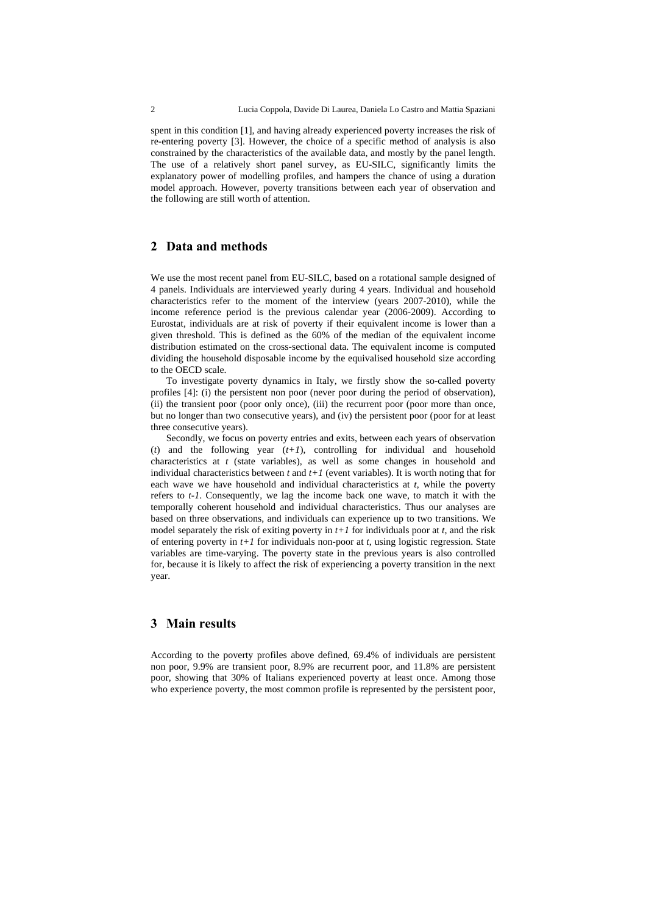spent in this condition [1], and having already experienced poverty increases the risk of re-entering poverty [3]. However, the choice of a specific method of analysis is also constrained by the characteristics of the available data, and mostly by the panel length. The use of a relatively short panel survey, as EU-SILC, significantly limits the explanatory power of modelling profiles, and hampers the chance of using a duration model approach. However, poverty transitions between each year of observation and the following are still worth of attention.

# **2 Data and methods**

We use the most recent panel from EU-SILC, based on a rotational sample designed of 4 panels. Individuals are interviewed yearly during 4 years. Individual and household characteristics refer to the moment of the interview (years 2007-2010), while the income reference period is the previous calendar year (2006-2009). According to Eurostat, individuals are at risk of poverty if their equivalent income is lower than a given threshold. This is defined as the 60% of the median of the equivalent income distribution estimated on the cross-sectional data. The equivalent income is computed dividing the household disposable income by the equivalised household size according to the OECD scale.

To investigate poverty dynamics in Italy, we firstly show the so-called poverty profiles [4]: (i) the persistent non poor (never poor during the period of observation), (ii) the transient poor (poor only once), (iii) the recurrent poor (poor more than once, but no longer than two consecutive years), and (iv) the persistent poor (poor for at least three consecutive years).

Secondly, we focus on poverty entries and exits, between each years of observation (*t*) and the following year (*t+1*), controlling for individual and household characteristics at *t* (state variables), as well as some changes in household and individual characteristics between  $t$  and  $t+1$  (event variables). It is worth noting that for each wave we have household and individual characteristics at *t*, while the poverty refers to *t-1*. Consequently, we lag the income back one wave, to match it with the temporally coherent household and individual characteristics. Thus our analyses are based on three observations, and individuals can experience up to two transitions. We model separately the risk of exiting poverty in *t+1* for individuals poor at *t*, and the risk of entering poverty in *t+1* for individuals non-poor at *t*, using logistic regression. State variables are time-varying. The poverty state in the previous years is also controlled for, because it is likely to affect the risk of experiencing a poverty transition in the next year.

### **3 Main results**

According to the poverty profiles above defined, 69.4% of individuals are persistent non poor, 9.9% are transient poor, 8.9% are recurrent poor, and 11.8% are persistent poor, showing that 30% of Italians experienced poverty at least once. Among those who experience poverty, the most common profile is represented by the persistent poor,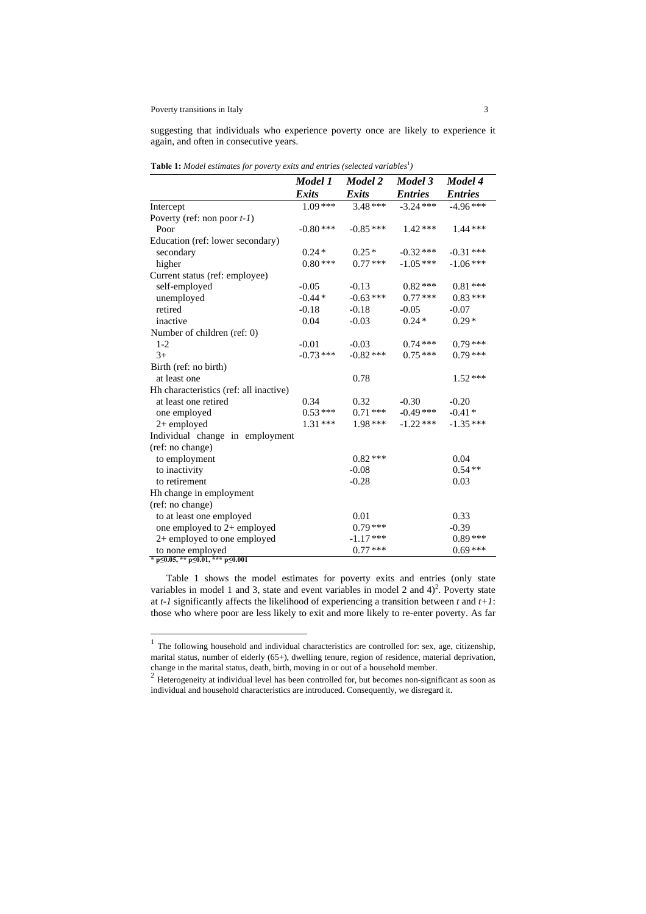#### Poverty transitions in Italy 3

l

suggesting that individuals who experience poverty once are likely to experience it again, and often in consecutive years.

|                                                                          | Model 1      | Model 2      | Model 3        | Model 4        |
|--------------------------------------------------------------------------|--------------|--------------|----------------|----------------|
|                                                                          | <b>Exits</b> | <b>Exits</b> | <b>Entries</b> | <b>Entries</b> |
| Intercept                                                                | $1.09***$    | $3.48***$    | $-3.24$ ***    | $-4.96***$     |
| Poverty (ref: non poor $t-1$ )                                           |              |              |                |                |
| Poor                                                                     | $-0.80***$   | $-0.85***$   | $1.42***$      | $1.44***$      |
| Education (ref: lower secondary)                                         |              |              |                |                |
| secondary                                                                | $0.24*$      | $0.25*$      | $-0.32$ ***    | $-0.31***$     |
| higher                                                                   | $0.80***$    | $0.77***$    | $-1.05***$     | $-1.06***$     |
| Current status (ref: employee)                                           |              |              |                |                |
| self-employed                                                            | $-0.05$      | $-0.13$      | $0.82***$      | $0.81***$      |
| unemployed                                                               | $-0.44*$     | $-0.63***$   | $0.77***$      | $0.83***$      |
| retired                                                                  | $-0.18$      | $-0.18$      | $-0.05$        | $-0.07$        |
| inactive                                                                 | 0.04         | $-0.03$      | $0.24*$        | $0.29*$        |
| Number of children (ref: 0)                                              |              |              |                |                |
| $1 - 2$                                                                  | $-0.01$      | $-0.03$      | $0.74***$      | $0.79***$      |
| $3+$                                                                     | $-0.73***$   | $-0.82$ ***  | $0.75***$      | $0.79***$      |
| Birth (ref: no birth)                                                    |              |              |                |                |
| at least one                                                             |              | 0.78         |                | $1.52***$      |
| Hh characteristics (ref: all inactive)                                   |              |              |                |                |
| at least one retired                                                     | 0.34         | 0.32         | $-0.30$        | $-0.20$        |
| one employed                                                             | $0.53***$    | $0.71***$    | $-0.49$ ***    | $-0.41*$       |
| 2+ employed                                                              | $1.31***$    | $1.98***$    | $-1.22$ ***    | $-1.35***$     |
| Individual change in employment                                          |              |              |                |                |
| (ref: no change)                                                         |              |              |                |                |
| to employment                                                            |              | $0.82***$    |                | 0.04           |
| to inactivity                                                            |              | $-0.08$      |                | $0.54**$       |
| to retirement                                                            |              | $-0.28$      |                | 0.03           |
| Hh change in employment                                                  |              |              |                |                |
| (ref: no change)                                                         |              |              |                |                |
| to at least one employed                                                 |              | 0.01         |                | 0.33           |
| one employed to 2+ employed                                              |              | $0.79***$    |                | $-0.39$        |
| 2+ employed to one employed                                              |              | $-1.17***$   |                | $0.89***$      |
| to none employed<br>* $p \le 0.05$ , ** $p \le 0.01$ , *** $p \le 0.001$ |              | $0.77***$    |                | $0.69***$      |

**Table 1:** Model estimates for poverty exits and entries (selected variables<sup>1</sup>)

Table 1 shows the model estimates for poverty exits and entries (only state variables in model 1 and 3, state and event variables in model 2 and  $4)^2$ . Poverty state at *t-1* significantly affects the likelihood of experiencing a transition between *t* and *t+1*: those who where poor are less likely to exit and more likely to re-enter poverty. As far

 $<sup>1</sup>$  The following household and individual characteristics are controlled for: sex, age, citizenship,</sup> marital status, number of elderly (65+), dwelling tenure, region of residence, material deprivation, change in the marital status, death, birth, moving in or out of a household member.<br><sup>2</sup> Heterogeneity at individual level has been controlled for, but becomes non-significant as soon as

individual and household characteristics are introduced. Consequently, we disregard it.